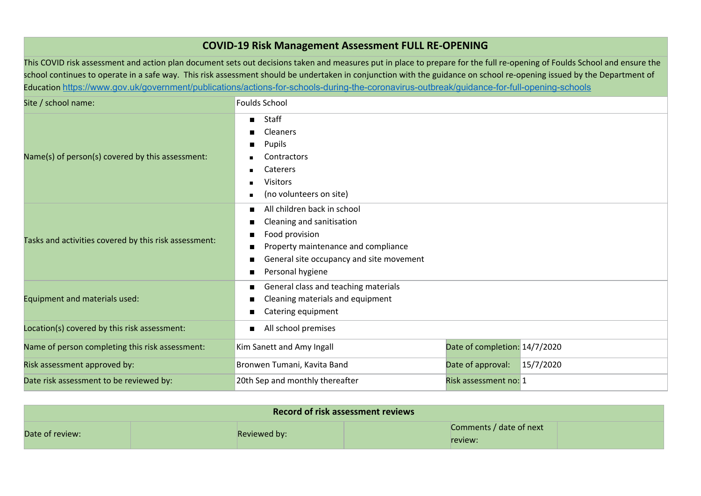## **COVID-19 Risk Management Assessment FULL RE-OPENING**

This COVID risk assessment and action plan document sets out decisions taken and measures put in place to prepare for the full re-opening of Foulds School and ensure the school continues to operate in a safe way. This risk assessment should be undertaken in conjunction with the guidance on school re-opening issued by the Department of Education <https://www.gov.uk/government/publications/actions-for-schools-during-the-coronavirus-outbreak/guidance-for-full-opening-schools>

| Site / school name:                                   | <b>Foulds School</b>                                                                                                                                                                                            |                               |           |
|-------------------------------------------------------|-----------------------------------------------------------------------------------------------------------------------------------------------------------------------------------------------------------------|-------------------------------|-----------|
| Name(s) of person(s) covered by this assessment:      | Staff<br>Cleaners<br>Pupils<br>■<br><b>Contractors</b><br>Caterers<br>п<br><b>Visitors</b><br>п<br>(no volunteers on site)<br>$\blacksquare$                                                                    |                               |           |
| Tasks and activities covered by this risk assessment: | All children back in school<br>п<br>Cleaning and sanitisation<br>п<br>Food provision<br>■<br>Property maintenance and compliance<br>п<br>General site occupancy and site movement<br>п<br>Personal hygiene<br>п |                               |           |
| Equipment and materials used:                         | General class and teaching materials<br>■<br>Cleaning materials and equipment<br>п<br>Catering equipment<br>п                                                                                                   |                               |           |
| Location(s) covered by this risk assessment:          | All school premises                                                                                                                                                                                             |                               |           |
| Name of person completing this risk assessment:       | Kim Sanett and Amy Ingall                                                                                                                                                                                       | Date of completion: 14/7/2020 |           |
| Risk assessment approved by:                          | Bronwen Tumani, Kavita Band                                                                                                                                                                                     | Date of approval:             | 15/7/2020 |
| Date risk assessment to be reviewed by:               | 20th Sep and monthly thereafter                                                                                                                                                                                 | Risk assessment no: 1         |           |

| <b>Record of risk assessment reviews</b> |              |                                    |  |
|------------------------------------------|--------------|------------------------------------|--|
| Date of review:                          | Reviewed by: | Comments / date of next<br>review: |  |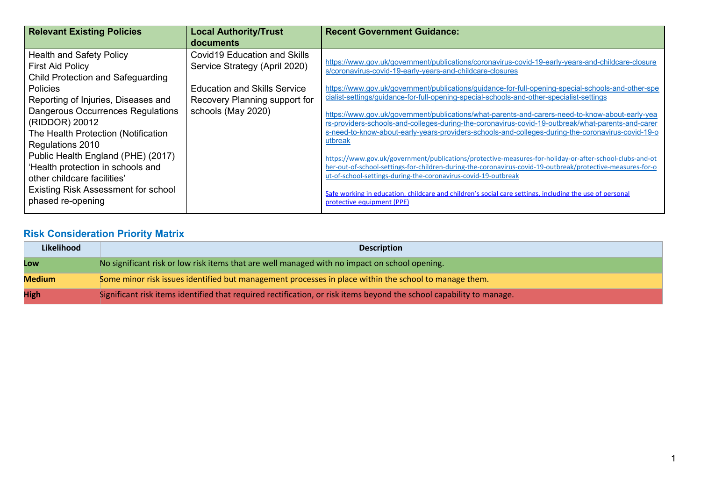| <b>Relevant Existing Policies</b>   | <b>Local Authority/Trust</b>        | <b>Recent Government Guidance:</b>                                                                         |
|-------------------------------------|-------------------------------------|------------------------------------------------------------------------------------------------------------|
|                                     | documents                           |                                                                                                            |
| <b>Health and Safety Policy</b>     | Covid 19 Education and Skills       | https://www.gov.uk/government/publications/coronavirus-covid-19-early-years-and-childcare-closure          |
| <b>First Aid Policy</b>             | Service Strategy (April 2020)       | s/coronavirus-covid-19-early-years-and-childcare-closures                                                  |
| Child Protection and Safeguarding   |                                     |                                                                                                            |
| <b>Policies</b>                     | <b>Education and Skills Service</b> | https://www.gov.uk/government/publications/guidance-for-full-opening-special-schools-and-other-spe         |
| Reporting of Injuries, Diseases and | Recovery Planning support for       | cialist-settings/guidance-for-full-opening-special-schools-and-other-specialist-settings                   |
| Dangerous Occurrences Regulations   | schools (May 2020)                  | https://www.gov.uk/government/publications/what-parents-and-carers-need-to-know-about-early-yea            |
| (RIDDOR) 20012                      |                                     | rs-providers-schools-and-colleges-during-the-coronavirus-covid-19-outbreak/what-parents-and-carer          |
| The Health Protection (Notification |                                     | s-need-to-know-about-early-years-providers-schools-and-colleges-during-the-coronavirus-covid-19-o          |
| Regulations 2010                    |                                     | utbreak                                                                                                    |
| Public Health England (PHE) (2017)  |                                     | https://www.gov.uk/government/publications/protective-measures-for-holiday-or-after-school-clubs-and-ot    |
| 'Health protection in schools and   |                                     | her-out-of-school-settings-for-children-during-the-coronavirus-covid-19-outbreak/protective-measures-for-o |
| other childcare facilities'         |                                     | ut-of-school-settings-during-the-coronavirus-covid-19-outbreak                                             |
| Existing Risk Assessment for school |                                     | Safe working in education, childcare and children's social care settings, including the use of personal    |
| phased re-opening                   |                                     | protective equipment (PPE)                                                                                 |
|                                     |                                     |                                                                                                            |

## **Risk Consideration Priority Matrix**

| Likelihood    | <b>Description</b>                                                                                                   |
|---------------|----------------------------------------------------------------------------------------------------------------------|
| Low           | No significant risk or low risk items that are well managed with no impact on school opening.                        |
| <b>Medium</b> | Some minor risk issues identified but management processes in place within the school to manage them.                |
| <b>High</b>   | Significant risk items identified that required rectification, or risk items beyond the school capability to manage. |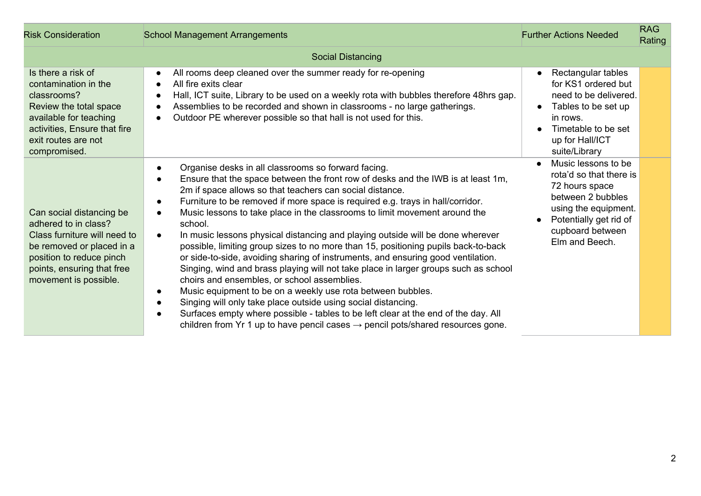| <b>Risk Consideration</b>                                                                                                                                                                        | <b>School Management Arrangements</b>                                                                                                                                                                                                                                                                                                                                                                                                                                                                                                                                                                                                                                                                                                                                                                                                                                                                                                                                                                                                                                                                                                                                  | <b>Further Actions Needed</b>                                                                                                                                                              | <b>RAG</b><br>Rating |
|--------------------------------------------------------------------------------------------------------------------------------------------------------------------------------------------------|------------------------------------------------------------------------------------------------------------------------------------------------------------------------------------------------------------------------------------------------------------------------------------------------------------------------------------------------------------------------------------------------------------------------------------------------------------------------------------------------------------------------------------------------------------------------------------------------------------------------------------------------------------------------------------------------------------------------------------------------------------------------------------------------------------------------------------------------------------------------------------------------------------------------------------------------------------------------------------------------------------------------------------------------------------------------------------------------------------------------------------------------------------------------|--------------------------------------------------------------------------------------------------------------------------------------------------------------------------------------------|----------------------|
|                                                                                                                                                                                                  | <b>Social Distancing</b>                                                                                                                                                                                                                                                                                                                                                                                                                                                                                                                                                                                                                                                                                                                                                                                                                                                                                                                                                                                                                                                                                                                                               |                                                                                                                                                                                            |                      |
| Is there a risk of<br>contamination in the<br>classrooms?<br>Review the total space<br>available for teaching<br>activities, Ensure that fire<br>exit routes are not<br>compromised.             | All rooms deep cleaned over the summer ready for re-opening<br>$\bullet$<br>All fire exits clear<br>$\bullet$<br>Hall, ICT suite, Library to be used on a weekly rota with bubbles therefore 48hrs gap.<br>$\bullet$<br>Assemblies to be recorded and shown in classrooms - no large gatherings.<br>$\bullet$<br>Outdoor PE wherever possible so that hall is not used for this.<br>$\bullet$                                                                                                                                                                                                                                                                                                                                                                                                                                                                                                                                                                                                                                                                                                                                                                          | Rectangular tables<br>$\bullet$<br>for KS1 ordered but<br>need to be delivered.<br>Tables to be set up<br>$\bullet$<br>in rows.<br>Timetable to be set<br>up for Hall/ICT<br>suite/Library |                      |
| Can social distancing be<br>adhered to in class?<br>Class furniture will need to<br>be removed or placed in a<br>position to reduce pinch<br>points, ensuring that free<br>movement is possible. | Organise desks in all classrooms so forward facing.<br>$\bullet$<br>Ensure that the space between the front row of desks and the IWB is at least 1m,<br>$\bullet$<br>2m if space allows so that teachers can social distance.<br>Furniture to be removed if more space is required e.g. trays in hall/corridor.<br>$\bullet$<br>Music lessons to take place in the classrooms to limit movement around the<br>school.<br>In music lessons physical distancing and playing outside will be done wherever<br>$\bullet$<br>possible, limiting group sizes to no more than 15, positioning pupils back-to-back<br>or side-to-side, avoiding sharing of instruments, and ensuring good ventilation.<br>Singing, wind and brass playing will not take place in larger groups such as school<br>choirs and ensembles, or school assemblies.<br>Music equipment to be on a weekly use rota between bubbles.<br>$\bullet$<br>Singing will only take place outside using social distancing.<br>Surfaces empty where possible - tables to be left clear at the end of the day. All<br>children from Yr 1 up to have pencil cases $\rightarrow$ pencil pots/shared resources gone. | Music lessons to be<br>$\bullet$<br>rota'd so that there is<br>72 hours space<br>between 2 bubbles<br>using the equipment.<br>Potentially get rid of<br>cupboard between<br>Elm and Beech. |                      |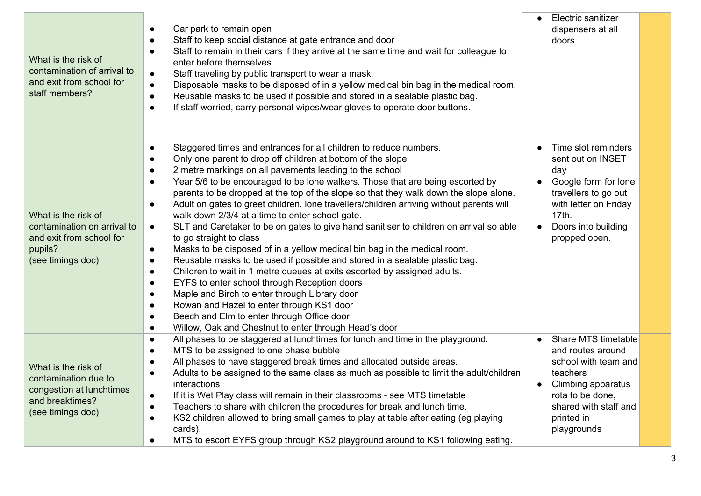| What is the risk of<br>contamination of arrival to<br>and exit from school for<br>staff members?                | Car park to remain open<br>Staff to keep social distance at gate entrance and door<br>$\bullet$<br>Staff to remain in their cars if they arrive at the same time and wait for colleague to<br>$\bullet$<br>enter before themselves<br>Staff traveling by public transport to wear a mask.<br>$\bullet$<br>Disposable masks to be disposed of in a yellow medical bin bag in the medical room.<br>$\bullet$<br>Reusable masks to be used if possible and stored in a sealable plastic bag.<br>$\bullet$<br>If staff worried, carry personal wipes/wear gloves to operate door buttons.<br>$\bullet$                                                                                                                                                                                                                                                                                                                                                                                                                                                                                                                                                                                                                                                                                                              | Electric sanitizer<br>$\bullet$<br>dispensers at all<br>doors.                                                                                                               |  |
|-----------------------------------------------------------------------------------------------------------------|-----------------------------------------------------------------------------------------------------------------------------------------------------------------------------------------------------------------------------------------------------------------------------------------------------------------------------------------------------------------------------------------------------------------------------------------------------------------------------------------------------------------------------------------------------------------------------------------------------------------------------------------------------------------------------------------------------------------------------------------------------------------------------------------------------------------------------------------------------------------------------------------------------------------------------------------------------------------------------------------------------------------------------------------------------------------------------------------------------------------------------------------------------------------------------------------------------------------------------------------------------------------------------------------------------------------|------------------------------------------------------------------------------------------------------------------------------------------------------------------------------|--|
| What is the risk of<br>contamination on arrival to<br>and exit from school for<br>pupils?<br>(see timings doc)  | Staggered times and entrances for all children to reduce numbers.<br>$\bullet$<br>Only one parent to drop off children at bottom of the slope<br>$\bullet$<br>2 metre markings on all pavements leading to the school<br>Year 5/6 to be encouraged to be lone walkers. Those that are being escorted by<br>$\bullet$<br>parents to be dropped at the top of the slope so that they walk down the slope alone.<br>Adult on gates to greet children, lone travellers/children arriving without parents will<br>$\bullet$<br>walk down 2/3/4 at a time to enter school gate.<br>SLT and Caretaker to be on gates to give hand sanitiser to children on arrival so able<br>$\bullet$<br>to go straight to class<br>Masks to be disposed of in a yellow medical bin bag in the medical room.<br>$\bullet$<br>Reusable masks to be used if possible and stored in a sealable plastic bag.<br>$\bullet$<br>Children to wait in 1 metre queues at exits escorted by assigned adults.<br>$\bullet$<br>EYFS to enter school through Reception doors<br>$\bullet$<br>Maple and Birch to enter through Library door<br>$\bullet$<br>Rowan and Hazel to enter through KS1 door<br>$\bullet$<br>Beech and Elm to enter through Office door<br>$\bullet$<br>Willow, Oak and Chestnut to enter through Head's door<br>$\bullet$ | Time slot reminders<br>sent out on INSET<br>day<br>Google form for lone<br>travellers to go out<br>with letter on Friday<br>17th.<br>Doors into building<br>propped open.    |  |
| What is the risk of<br>contamination due to<br>congestion at lunchtimes<br>and breaktimes?<br>(see timings doc) | All phases to be staggered at lunchtimes for lunch and time in the playground.<br>$\bullet$<br>MTS to be assigned to one phase bubble<br>$\bullet$<br>All phases to have staggered break times and allocated outside areas.<br>Adults to be assigned to the same class as much as possible to limit the adult/children<br>$\bullet$<br>interactions<br>If it is Wet Play class will remain in their classrooms - see MTS timetable<br>$\bullet$<br>Teachers to share with children the procedures for break and lunch time.<br>$\bullet$<br>KS2 children allowed to bring small games to play at table after eating (eg playing<br>$\bullet$<br>cards).<br>MTS to escort EYFS group through KS2 playground around to KS1 following eating.                                                                                                                                                                                                                                                                                                                                                                                                                                                                                                                                                                      | Share MTS timetable<br>and routes around<br>school with team and<br>teachers<br>Climbing apparatus<br>rota to be done,<br>shared with staff and<br>printed in<br>playgrounds |  |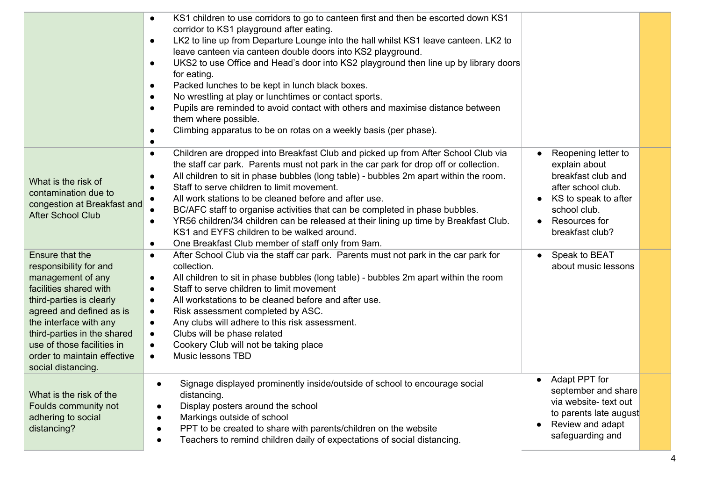|                                                                                                                                                                                                                                                                                                     | KS1 children to use corridors to go to canteen first and then be escorted down KS1<br>$\bullet$<br>corridor to KS1 playground after eating.<br>LK2 to line up from Departure Lounge into the hall whilst KS1 leave canteen. LK2 to<br>$\bullet$<br>leave canteen via canteen double doors into KS2 playground.<br>UKS2 to use Office and Head's door into KS2 playground then line up by library doors<br>$\bullet$<br>for eating.<br>Packed lunches to be kept in lunch black boxes.<br>$\bullet$<br>No wrestling at play or lunchtimes or contact sports.<br>$\bullet$<br>Pupils are reminded to avoid contact with others and maximise distance between<br>them where possible.<br>Climbing apparatus to be on rotas on a weekly basis (per phase).<br>$\bullet$<br>$\bullet$ |                                                                                                                                                              |  |
|-----------------------------------------------------------------------------------------------------------------------------------------------------------------------------------------------------------------------------------------------------------------------------------------------------|----------------------------------------------------------------------------------------------------------------------------------------------------------------------------------------------------------------------------------------------------------------------------------------------------------------------------------------------------------------------------------------------------------------------------------------------------------------------------------------------------------------------------------------------------------------------------------------------------------------------------------------------------------------------------------------------------------------------------------------------------------------------------------|--------------------------------------------------------------------------------------------------------------------------------------------------------------|--|
| What is the risk of<br>contamination due to<br>congestion at Breakfast and<br><b>After School Club</b>                                                                                                                                                                                              | Children are dropped into Breakfast Club and picked up from After School Club via<br>$\bullet$<br>the staff car park. Parents must not park in the car park for drop off or collection.<br>All children to sit in phase bubbles (long table) - bubbles 2m apart within the room.<br>$\bullet$<br>Staff to serve children to limit movement.<br>$\bullet$<br>All work stations to be cleaned before and after use.<br>BC/AFC staff to organise activities that can be completed in phase bubbles.<br>YR56 children/34 children can be released at their lining up time by Breakfast Club.<br>$\bullet$<br>KS1 and EYFS children to be walked around.<br>One Breakfast Club member of staff only from 9am.<br>$\bullet$                                                            | Reopening letter to<br>explain about<br>breakfast club and<br>after school club.<br>KS to speak to after<br>school club.<br>Resources for<br>breakfast club? |  |
| <b>Ensure that the</b><br>responsibility for and<br>management of any<br>facilities shared with<br>third-parties is clearly<br>agreed and defined as is<br>the interface with any<br>third-parties in the shared<br>use of those facilities in<br>order to maintain effective<br>social distancing. | After School Club via the staff car park. Parents must not park in the car park for<br>$\bullet$<br>collection.<br>All children to sit in phase bubbles (long table) - bubbles 2m apart within the room<br>$\bullet$<br>Staff to serve children to limit movement<br>$\bullet$<br>All workstations to be cleaned before and after use.<br>$\bullet$<br>Risk assessment completed by ASC.<br>$\bullet$<br>Any clubs will adhere to this risk assessment.<br>$\bullet$<br>Clubs will be phase related<br>$\bullet$<br>Cookery Club will not be taking place<br>$\bullet$<br>Music lessons TBD<br>$\bullet$                                                                                                                                                                         | Speak to BEAT<br>about music lessons                                                                                                                         |  |
| What is the risk of the<br>Foulds community not<br>adhering to social<br>distancing?                                                                                                                                                                                                                | Signage displayed prominently inside/outside of school to encourage social<br>distancing.<br>Display posters around the school<br>Markings outside of school<br>PPT to be created to share with parents/children on the website<br>Teachers to remind children daily of expectations of social distancing.                                                                                                                                                                                                                                                                                                                                                                                                                                                                       | Adapt PPT for<br>september and share<br>via website- text out<br>to parents late august<br>Review and adapt<br>$\bullet$<br>safeguarding and                 |  |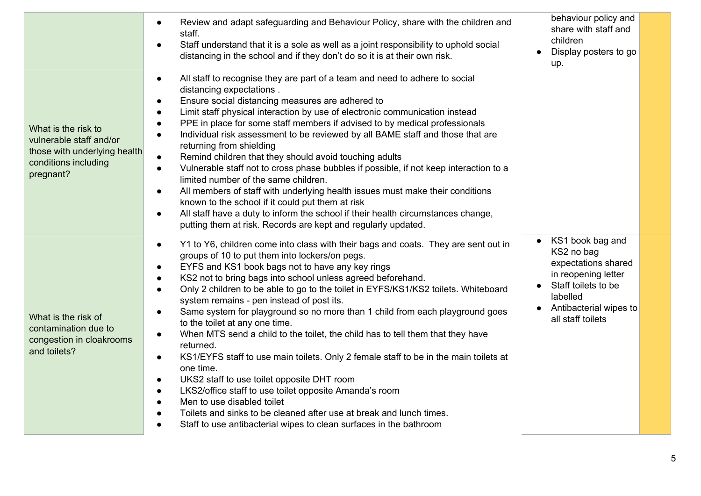|                                                                                                                     | Review and adapt safeguarding and Behaviour Policy, share with the children and<br>$\bullet$<br>staff.<br>Staff understand that it is a sole as well as a joint responsibility to uphold social<br>$\bullet$<br>distancing in the school and if they don't do so it is at their own risk.                                                                                                                                                                                                                                                                                                                                                                                                                                                                                                                                                                                                                                                                                                                                                                                                                                                                       | behaviour policy and<br>share with staff and<br>children<br>Display posters to go<br>up.                                                                       |
|---------------------------------------------------------------------------------------------------------------------|-----------------------------------------------------------------------------------------------------------------------------------------------------------------------------------------------------------------------------------------------------------------------------------------------------------------------------------------------------------------------------------------------------------------------------------------------------------------------------------------------------------------------------------------------------------------------------------------------------------------------------------------------------------------------------------------------------------------------------------------------------------------------------------------------------------------------------------------------------------------------------------------------------------------------------------------------------------------------------------------------------------------------------------------------------------------------------------------------------------------------------------------------------------------|----------------------------------------------------------------------------------------------------------------------------------------------------------------|
| What is the risk to<br>vulnerable staff and/or<br>those with underlying health<br>conditions including<br>pregnant? | All staff to recognise they are part of a team and need to adhere to social<br>$\bullet$<br>distancing expectations.<br>Ensure social distancing measures are adhered to<br>$\bullet$<br>Limit staff physical interaction by use of electronic communication instead<br>$\bullet$<br>PPE in place for some staff members if advised to by medical professionals<br>$\bullet$<br>Individual risk assessment to be reviewed by all BAME staff and those that are<br>$\bullet$<br>returning from shielding<br>Remind children that they should avoid touching adults<br>$\bullet$<br>Vulnerable staff not to cross phase bubbles if possible, if not keep interaction to a<br>$\bullet$<br>limited number of the same children.<br>All members of staff with underlying health issues must make their conditions<br>$\bullet$<br>known to the school if it could put them at risk<br>All staff have a duty to inform the school if their health circumstances change,<br>$\bullet$<br>putting them at risk. Records are kept and regularly updated.                                                                                                                |                                                                                                                                                                |
| What is the risk of<br>contamination due to<br>congestion in cloakrooms<br>and toilets?                             | Y1 to Y6, children come into class with their bags and coats. They are sent out in<br>$\bullet$<br>groups of 10 to put them into lockers/on pegs.<br>EYFS and KS1 book bags not to have any key rings<br>$\bullet$<br>KS2 not to bring bags into school unless agreed beforehand.<br>$\bullet$<br>Only 2 children to be able to go to the toilet in EYFS/KS1/KS2 toilets. Whiteboard<br>$\bullet$<br>system remains - pen instead of post its.<br>Same system for playground so no more than 1 child from each playground goes<br>$\bullet$<br>to the toilet at any one time.<br>When MTS send a child to the toilet, the child has to tell them that they have<br>$\bullet$<br>returned.<br>KS1/EYFS staff to use main toilets. Only 2 female staff to be in the main toilets at<br>$\bullet$<br>one time.<br>UKS2 staff to use toilet opposite DHT room<br>$\bullet$<br>LKS2/office staff to use toilet opposite Amanda's room<br>$\bullet$<br>Men to use disabled toilet<br>$\bullet$<br>Toilets and sinks to be cleaned after use at break and lunch times.<br>$\bullet$<br>Staff to use antibacterial wipes to clean surfaces in the bathroom<br>$\bullet$ | KS1 book bag and<br>KS2 no bag<br>expectations shared<br>in reopening letter<br>Staff toilets to be<br>labelled<br>Antibacterial wipes to<br>all staff toilets |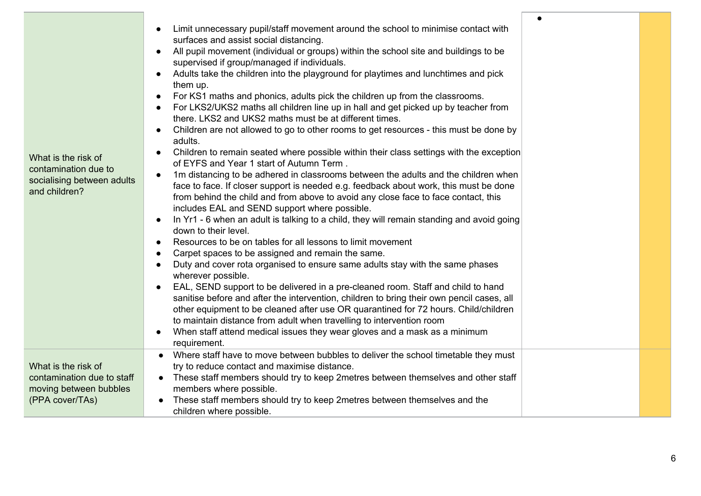|                            | Limit unnecessary pupil/staff movement around the school to minimise contact with                                                                                                        |  |
|----------------------------|------------------------------------------------------------------------------------------------------------------------------------------------------------------------------------------|--|
|                            | surfaces and assist social distancing.                                                                                                                                                   |  |
|                            | All pupil movement (individual or groups) within the school site and buildings to be                                                                                                     |  |
|                            | supervised if group/managed if individuals.                                                                                                                                              |  |
|                            | Adults take the children into the playground for playtimes and lunchtimes and pick                                                                                                       |  |
|                            | them up.                                                                                                                                                                                 |  |
|                            | For KS1 maths and phonics, adults pick the children up from the classrooms.                                                                                                              |  |
|                            | For LKS2/UKS2 maths all children line up in hall and get picked up by teacher from                                                                                                       |  |
|                            | there. LKS2 and UKS2 maths must be at different times.                                                                                                                                   |  |
|                            | Children are not allowed to go to other rooms to get resources - this must be done by                                                                                                    |  |
|                            | adults.                                                                                                                                                                                  |  |
| What is the risk of        | Children to remain seated where possible within their class settings with the exception<br>$\bullet$                                                                                     |  |
| contamination due to       | of EYFS and Year 1 start of Autumn Term.                                                                                                                                                 |  |
| socialising between adults | 1m distancing to be adhered in classrooms between the adults and the children when<br>$\bullet$<br>face to face. If closer support is needed e.g. feedback about work, this must be done |  |
| and children?              | from behind the child and from above to avoid any close face to face contact, this                                                                                                       |  |
|                            | includes EAL and SEND support where possible.                                                                                                                                            |  |
|                            | In Yr1 - 6 when an adult is talking to a child, they will remain standing and avoid going                                                                                                |  |
|                            | down to their level.                                                                                                                                                                     |  |
|                            | Resources to be on tables for all lessons to limit movement                                                                                                                              |  |
|                            | Carpet spaces to be assigned and remain the same.                                                                                                                                        |  |
|                            | Duty and cover rota organised to ensure same adults stay with the same phases                                                                                                            |  |
|                            | wherever possible.                                                                                                                                                                       |  |
|                            | EAL, SEND support to be delivered in a pre-cleaned room. Staff and child to hand                                                                                                         |  |
|                            | sanitise before and after the intervention, children to bring their own pencil cases, all                                                                                                |  |
|                            | other equipment to be cleaned after use OR quarantined for 72 hours. Child/children                                                                                                      |  |
|                            | to maintain distance from adult when travelling to intervention room                                                                                                                     |  |
|                            | When staff attend medical issues they wear gloves and a mask as a minimum                                                                                                                |  |
|                            | requirement.                                                                                                                                                                             |  |
|                            | Where staff have to move between bubbles to deliver the school timetable they must                                                                                                       |  |
| What is the risk of        | try to reduce contact and maximise distance.                                                                                                                                             |  |
| contamination due to staff | • These staff members should try to keep 2metres between themselves and other staff                                                                                                      |  |
| moving between bubbles     | members where possible.                                                                                                                                                                  |  |
| (PPA cover/TAs)            | These staff members should try to keep 2metres between themselves and the                                                                                                                |  |
|                            | children where possible.                                                                                                                                                                 |  |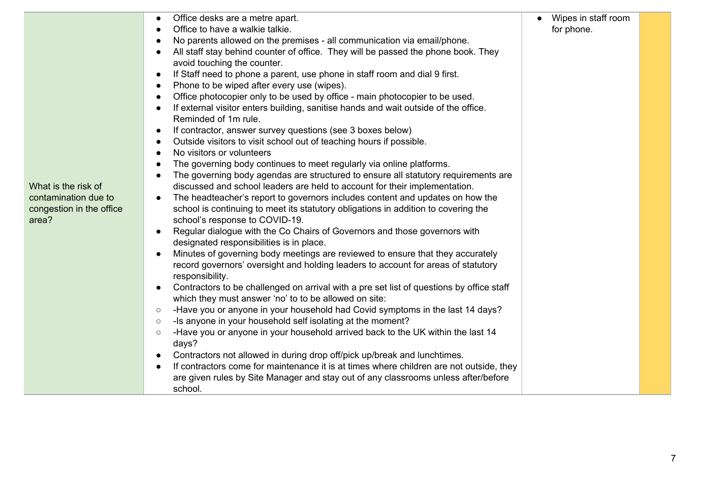|                          | Office desks are a metre apart.<br>$\bullet$                                                          | Wipes in staff room |  |
|--------------------------|-------------------------------------------------------------------------------------------------------|---------------------|--|
|                          | Office to have a walkie talkie.<br>$\bullet$                                                          | for phone.          |  |
|                          | No parents allowed on the premises - all communication via email/phone.<br>$\bullet$                  |                     |  |
|                          | All staff stay behind counter of office. They will be passed the phone book. They<br>$\bullet$        |                     |  |
|                          | avoid touching the counter.                                                                           |                     |  |
|                          | If Staff need to phone a parent, use phone in staff room and dial 9 first.<br>$\bullet$               |                     |  |
|                          | Phone to be wiped after every use (wipes).<br>$\bullet$                                               |                     |  |
|                          | Office photocopier only to be used by office - main photocopier to be used.<br>$\bullet$              |                     |  |
|                          | If external visitor enters building, sanitise hands and wait outside of the office.<br>$\bullet$      |                     |  |
|                          | Reminded of 1m rule.                                                                                  |                     |  |
|                          | If contractor, answer survey questions (see 3 boxes below)<br>$\bullet$                               |                     |  |
|                          | Outside visitors to visit school out of teaching hours if possible.<br>$\bullet$                      |                     |  |
|                          | No visitors or volunteers<br>$\bullet$                                                                |                     |  |
|                          | The governing body continues to meet regularly via online platforms.<br>$\bullet$                     |                     |  |
|                          | The governing body agendas are structured to ensure all statutory requirements are<br>$\bullet$       |                     |  |
| What is the risk of      | discussed and school leaders are held to account for their implementation.                            |                     |  |
| contamination due to     | The headteacher's report to governors includes content and updates on how the                         |                     |  |
| congestion in the office | school is continuing to meet its statutory obligations in addition to covering the                    |                     |  |
| area?                    | school's response to COVID-19.                                                                        |                     |  |
|                          | Regular dialogue with the Co Chairs of Governors and those governors with<br>$\bullet$                |                     |  |
|                          | designated responsibilities is in place.                                                              |                     |  |
|                          | Minutes of governing body meetings are reviewed to ensure that they accurately<br>$\bullet$           |                     |  |
|                          | record governors' oversight and holding leaders to account for areas of statutory                     |                     |  |
|                          | responsibility.                                                                                       |                     |  |
|                          | Contractors to be challenged on arrival with a pre set list of questions by office staff<br>$\bullet$ |                     |  |
|                          | which they must answer 'no' to to be allowed on site:                                                 |                     |  |
|                          | -Have you or anyone in your household had Covid symptoms in the last 14 days?<br>$\circ$              |                     |  |
|                          | -Is anyone in your household self isolating at the moment?<br>$\circ$                                 |                     |  |
|                          | -Have you or anyone in your household arrived back to the UK within the last 14<br>$\circ$<br>days?   |                     |  |
|                          | Contractors not allowed in during drop off/pick up/break and lunchtimes.<br>$\bullet$                 |                     |  |
|                          | If contractors come for maintenance it is at times where children are not outside, they<br>$\bullet$  |                     |  |
|                          | are given rules by Site Manager and stay out of any classrooms unless after/before                    |                     |  |
|                          | school.                                                                                               |                     |  |

7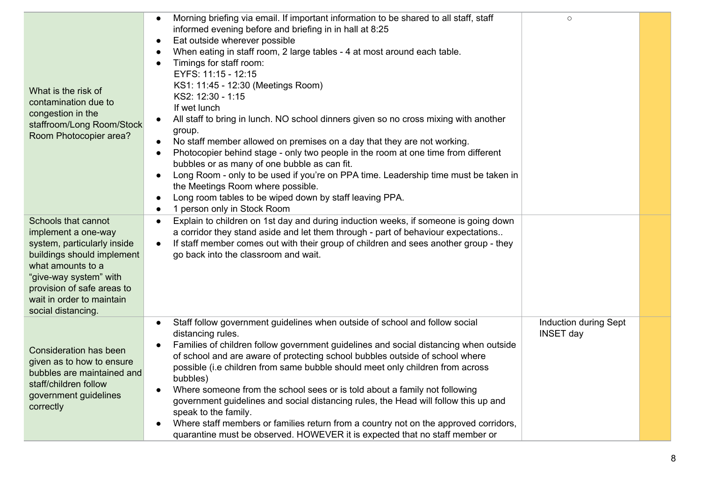| What is the risk of<br>contamination due to<br>congestion in the<br>staffroom/Long Room/Stock<br>Room Photocopier area?                                                                                                                 | Morning briefing via email. If important information to be shared to all staff, staff<br>informed evening before and briefing in in hall at 8:25<br>Eat outside wherever possible<br>$\bullet$<br>When eating in staff room, 2 large tables - 4 at most around each table.<br>Timings for staff room:<br>$\bullet$<br>EYFS: 11:15 - 12:15<br>KS1: 11:45 - 12:30 (Meetings Room)<br>KS2: 12:30 - 1:15<br>If wet lunch<br>All staff to bring in lunch. NO school dinners given so no cross mixing with another<br>group.<br>No staff member allowed on premises on a day that they are not working.<br>$\bullet$<br>Photocopier behind stage - only two people in the room at one time from different<br>$\bullet$<br>bubbles or as many of one bubble as can fit.<br>Long Room - only to be used if you're on PPA time. Leadership time must be taken in<br>$\bullet$<br>the Meetings Room where possible.<br>Long room tables to be wiped down by staff leaving PPA.<br>1 person only in Stock Room | $\circ$                                          |  |
|-----------------------------------------------------------------------------------------------------------------------------------------------------------------------------------------------------------------------------------------|-----------------------------------------------------------------------------------------------------------------------------------------------------------------------------------------------------------------------------------------------------------------------------------------------------------------------------------------------------------------------------------------------------------------------------------------------------------------------------------------------------------------------------------------------------------------------------------------------------------------------------------------------------------------------------------------------------------------------------------------------------------------------------------------------------------------------------------------------------------------------------------------------------------------------------------------------------------------------------------------------------|--------------------------------------------------|--|
| Schools that cannot<br>implement a one-way<br>system, particularly inside<br>buildings should implement<br>what amounts to a<br>"give-way system" with<br>provision of safe areas to<br>wait in order to maintain<br>social distancing. | Explain to children on 1st day and during induction weeks, if someone is going down<br>$\bullet$<br>a corridor they stand aside and let them through - part of behaviour expectations<br>If staff member comes out with their group of children and sees another group - they<br>$\bullet$<br>go back into the classroom and wait.                                                                                                                                                                                                                                                                                                                                                                                                                                                                                                                                                                                                                                                                  |                                                  |  |
| <b>Consideration has been</b><br>given as to how to ensure<br>bubbles are maintained and<br>staff/children follow<br>government guidelines<br>correctly                                                                                 | Staff follow government guidelines when outside of school and follow social<br>distancing rules.<br>Families of children follow government guidelines and social distancing when outside<br>of school and are aware of protecting school bubbles outside of school where<br>possible (i.e children from same bubble should meet only children from across<br>bubbles)<br>Where someone from the school sees or is told about a family not following<br>$\bullet$<br>government guidelines and social distancing rules, the Head will follow this up and<br>speak to the family.<br>Where staff members or families return from a country not on the approved corridors,<br>quarantine must be observed. HOWEVER it is expected that no staff member or                                                                                                                                                                                                                                              | <b>Induction during Sept</b><br><b>INSET day</b> |  |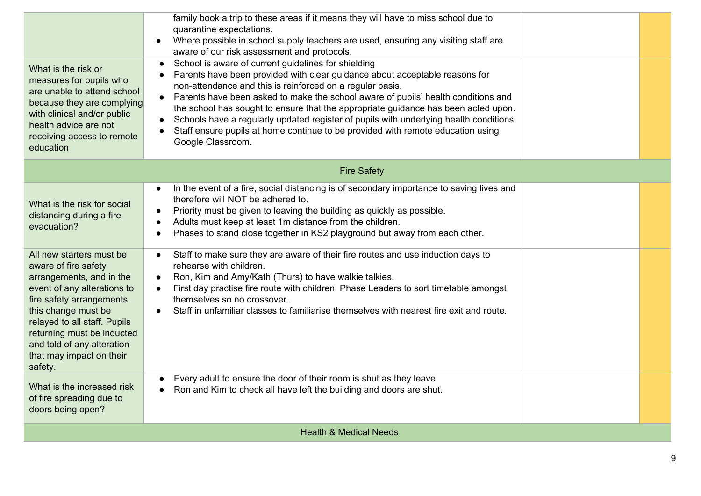|                                                                                                                                                                                                                                               | family book a trip to these areas if it means they will have to miss school due to<br>quarantine expectations.<br>Where possible in school supply teachers are used, ensuring any visiting staff are<br>$\bullet$<br>aware of our risk assessment and protocols.                                                                                                                                                                                                                                                                                                                          |  |  |  |
|-----------------------------------------------------------------------------------------------------------------------------------------------------------------------------------------------------------------------------------------------|-------------------------------------------------------------------------------------------------------------------------------------------------------------------------------------------------------------------------------------------------------------------------------------------------------------------------------------------------------------------------------------------------------------------------------------------------------------------------------------------------------------------------------------------------------------------------------------------|--|--|--|
| What is the risk or<br>measures for pupils who<br>are unable to attend school<br>because they are complying<br>with clinical and/or public<br>health advice are not<br>receiving access to remote<br>education                                | School is aware of current guidelines for shielding<br>$\bullet$<br>Parents have been provided with clear guidance about acceptable reasons for<br>non-attendance and this is reinforced on a regular basis.<br>Parents have been asked to make the school aware of pupils' health conditions and<br>the school has sought to ensure that the appropriate guidance has been acted upon.<br>Schools have a regularly updated register of pupils with underlying health conditions.<br>Staff ensure pupils at home continue to be provided with remote education using<br>Google Classroom. |  |  |  |
|                                                                                                                                                                                                                                               | <b>Fire Safety</b>                                                                                                                                                                                                                                                                                                                                                                                                                                                                                                                                                                        |  |  |  |
| What is the risk for social<br>distancing during a fire<br>evacuation?<br>All new starters must be<br>aware of fire safety                                                                                                                    | In the event of a fire, social distancing is of secondary importance to saving lives and<br>$\bullet$<br>therefore will NOT be adhered to.<br>Priority must be given to leaving the building as quickly as possible.<br>$\bullet$<br>Adults must keep at least 1m distance from the children.<br>$\bullet$<br>Phases to stand close together in KS2 playground but away from each other.<br>$\bullet$<br>Staff to make sure they are aware of their fire routes and use induction days to<br>$\bullet$<br>rehearse with children.                                                         |  |  |  |
| arrangements, and in the<br>event of any alterations to<br>fire safety arrangements<br>this change must be<br>relayed to all staff. Pupils<br>returning must be inducted<br>and told of any alteration<br>that may impact on their<br>safety. | Ron, Kim and Amy/Kath (Thurs) to have walkie talkies.<br>$\bullet$<br>First day practise fire route with children. Phase Leaders to sort timetable amongst<br>$\bullet$<br>themselves so no crossover.<br>Staff in unfamiliar classes to familiarise themselves with nearest fire exit and route.<br>$\bullet$                                                                                                                                                                                                                                                                            |  |  |  |
| What is the increased risk<br>of fire spreading due to<br>doors being open?                                                                                                                                                                   | Every adult to ensure the door of their room is shut as they leave.<br>Ron and Kim to check all have left the building and doors are shut.                                                                                                                                                                                                                                                                                                                                                                                                                                                |  |  |  |
|                                                                                                                                                                                                                                               | <b>Health &amp; Medical Needs</b>                                                                                                                                                                                                                                                                                                                                                                                                                                                                                                                                                         |  |  |  |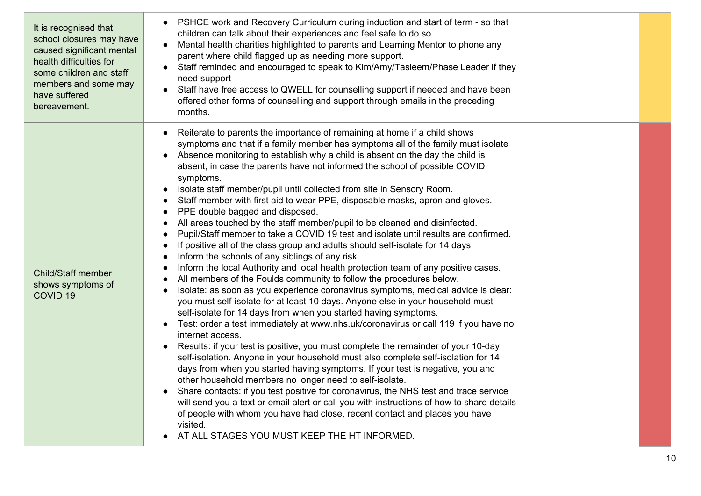| It is recognised that<br>school closures may have<br>caused significant mental<br>health difficulties for<br>some children and staff<br>members and some may<br>have suffered<br>bereavement. | PSHCE work and Recovery Curriculum during induction and start of term - so that<br>children can talk about their experiences and feel safe to do so.<br>Mental health charities highlighted to parents and Learning Mentor to phone any<br>$\bullet$<br>parent where child flagged up as needing more support.<br>Staff reminded and encouraged to speak to Kim/Amy/Tasleem/Phase Leader if they<br>need support<br>Staff have free access to QWELL for counselling support if needed and have been<br>$\bullet$<br>offered other forms of counselling and support through emails in the preceding<br>months.                                                                                                                                                                                                                                                                                                                                                                                                                                                                                                                                                                                                                                                                                                                                                                                                                                                                                                                                                                                                                                                                                                                                                                                                                                                                                                                                                                                                                                                                                                                  |  |
|-----------------------------------------------------------------------------------------------------------------------------------------------------------------------------------------------|--------------------------------------------------------------------------------------------------------------------------------------------------------------------------------------------------------------------------------------------------------------------------------------------------------------------------------------------------------------------------------------------------------------------------------------------------------------------------------------------------------------------------------------------------------------------------------------------------------------------------------------------------------------------------------------------------------------------------------------------------------------------------------------------------------------------------------------------------------------------------------------------------------------------------------------------------------------------------------------------------------------------------------------------------------------------------------------------------------------------------------------------------------------------------------------------------------------------------------------------------------------------------------------------------------------------------------------------------------------------------------------------------------------------------------------------------------------------------------------------------------------------------------------------------------------------------------------------------------------------------------------------------------------------------------------------------------------------------------------------------------------------------------------------------------------------------------------------------------------------------------------------------------------------------------------------------------------------------------------------------------------------------------------------------------------------------------------------------------------------------------|--|
| <b>Child/Staff member</b><br>shows symptoms of<br>COVID <sub>19</sub>                                                                                                                         | Reiterate to parents the importance of remaining at home if a child shows<br>$\bullet$<br>symptoms and that if a family member has symptoms all of the family must isolate<br>Absence monitoring to establish why a child is absent on the day the child is<br>absent, in case the parents have not informed the school of possible COVID<br>symptoms.<br>Isolate staff member/pupil until collected from site in Sensory Room.<br>$\bullet$<br>Staff member with first aid to wear PPE, disposable masks, apron and gloves.<br>$\bullet$<br>PPE double bagged and disposed.<br>All areas touched by the staff member/pupil to be cleaned and disinfected.<br>Pupil/Staff member to take a COVID 19 test and isolate until results are confirmed.<br>$\bullet$<br>If positive all of the class group and adults should self-isolate for 14 days.<br>$\bullet$<br>Inform the schools of any siblings of any risk.<br>Inform the local Authority and local health protection team of any positive cases.<br>All members of the Foulds community to follow the procedures below.<br>$\bullet$<br>Isolate: as soon as you experience coronavirus symptoms, medical advice is clear:<br>$\bullet$<br>you must self-isolate for at least 10 days. Anyone else in your household must<br>self-isolate for 14 days from when you started having symptoms.<br>Test: order a test immediately at www.nhs.uk/coronavirus or call 119 if you have no<br>$\bullet$<br>internet access.<br>Results: if your test is positive, you must complete the remainder of your 10-day<br>self-isolation. Anyone in your household must also complete self-isolation for 14<br>days from when you started having symptoms. If your test is negative, you and<br>other household members no longer need to self-isolate.<br>Share contacts: if you test positive for coronavirus, the NHS test and trace service<br>will send you a text or email alert or call you with instructions of how to share details<br>of people with whom you have had close, recent contact and places you have<br>visited.<br>AT ALL STAGES YOU MUST KEEP THE HT INFORMED. |  |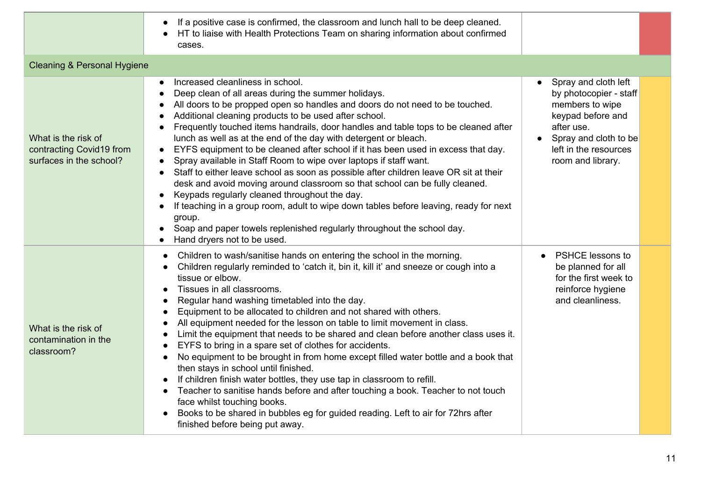|                                                                            | If a positive case is confirmed, the classroom and lunch hall to be deep cleaned.<br>HT to liaise with Health Protections Team on sharing information about confirmed<br>cases.                                                                                                                                                                                                                                                                                                                                                                                                                                                                                                                                                                                                                                                                                                                                                                                                                                                   |                                                                                                                                                                             |  |
|----------------------------------------------------------------------------|-----------------------------------------------------------------------------------------------------------------------------------------------------------------------------------------------------------------------------------------------------------------------------------------------------------------------------------------------------------------------------------------------------------------------------------------------------------------------------------------------------------------------------------------------------------------------------------------------------------------------------------------------------------------------------------------------------------------------------------------------------------------------------------------------------------------------------------------------------------------------------------------------------------------------------------------------------------------------------------------------------------------------------------|-----------------------------------------------------------------------------------------------------------------------------------------------------------------------------|--|
| <b>Cleaning &amp; Personal Hygiene</b>                                     |                                                                                                                                                                                                                                                                                                                                                                                                                                                                                                                                                                                                                                                                                                                                                                                                                                                                                                                                                                                                                                   |                                                                                                                                                                             |  |
| What is the risk of<br>contracting Covid19 from<br>surfaces in the school? | Increased cleanliness in school.<br>$\bullet$<br>Deep clean of all areas during the summer holidays.<br>All doors to be propped open so handles and doors do not need to be touched.<br>Additional cleaning products to be used after school.<br>Frequently touched items handrails, door handles and table tops to be cleaned after<br>lunch as well as at the end of the day with detergent or bleach.<br>EYFS equipment to be cleaned after school if it has been used in excess that day.<br>$\bullet$<br>Spray available in Staff Room to wipe over laptops if staff want.<br>Staff to either leave school as soon as possible after children leave OR sit at their<br>$\bullet$<br>desk and avoid moving around classroom so that school can be fully cleaned.<br>Keypads regularly cleaned throughout the day.<br>If teaching in a group room, adult to wipe down tables before leaving, ready for next<br>group.<br>Soap and paper towels replenished regularly throughout the school day.<br>Hand dryers not to be used. | Spray and cloth left<br>by photocopier - staff<br>members to wipe<br>keypad before and<br>after use.<br>Spray and cloth to be<br>left in the resources<br>room and library. |  |
| What is the risk of<br>contamination in the<br>classroom?                  | Children to wash/sanitise hands on entering the school in the morning.<br>Children regularly reminded to 'catch it, bin it, kill it' and sneeze or cough into a<br>tissue or elbow.<br>Tissues in all classrooms.<br>Regular hand washing timetabled into the day.<br>Equipment to be allocated to children and not shared with others.<br>All equipment needed for the lesson on table to limit movement in class.<br>Limit the equipment that needs to be shared and clean before another class uses it.<br>EYFS to bring in a spare set of clothes for accidents.<br>No equipment to be brought in from home except filled water bottle and a book that<br>then stays in school until finished.<br>If children finish water bottles, they use tap in classroom to refill.<br>Teacher to sanitise hands before and after touching a book. Teacher to not touch<br>face whilst touching books.<br>Books to be shared in bubbles eg for guided reading. Left to air for 72hrs after<br>finished before being put away.            | <b>PSHCE lessons to</b><br>be planned for all<br>for the first week to<br>reinforce hygiene<br>and cleanliness.                                                             |  |